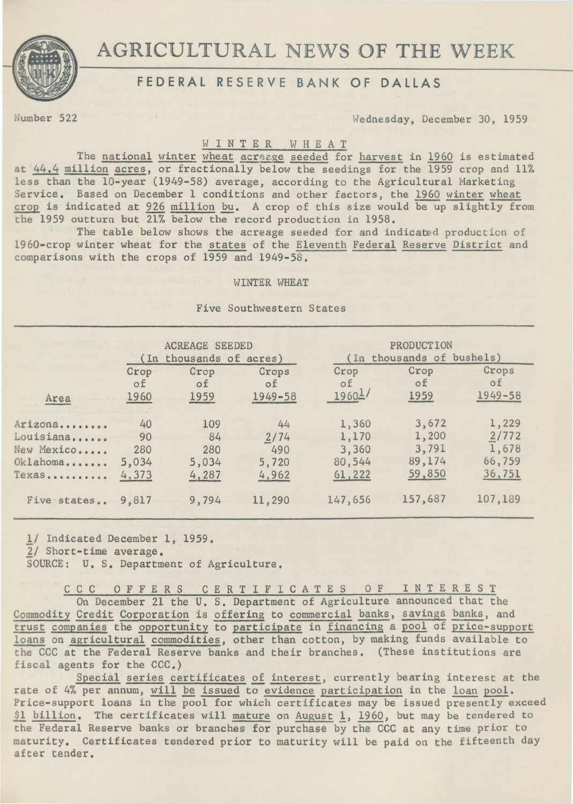

# AGRICULTURAL NEWS OF THE WEEK

## FEDERAL RESERVE BANK OF DALLAS

umber 522 Wednesday, December 30, 1959

#### W I N T E R W H E A T

The national winter wheat acreage seeded for harvest in 1960 is estimated at  $44.4$  million acres, or fractionally below the seedings for the 1959 crop and 11% less than the 10-year (1949-58) average, according to the Agricultural Marketing Service. Based on December 1 conditions and other factors, the 1960 winter wheat crop is indicated at 926 million bu. A crop of this size would be up slightly from the 1959 outturn but 21% below the record production in 1958.

The table below shows the acreage seeded for and indicated production of 19 60-crop winter wheat for the states of the Eleventh Federal Reserve District and comparisons with the crops of 1959 and 1949-58.

#### WINTER WHEAT

Five Southwestern States

|             | <b>ACREAGE SEEDED</b><br>(In thousands of acres) |       |             | PRODUCTION<br>(In thousands of bushels) |         |             |
|-------------|--------------------------------------------------|-------|-------------|-----------------------------------------|---------|-------------|
| Area        | Crop                                             | Crop  | Crops       | Crop                                    | Crop    | Crops       |
|             | οf                                               | οf    | οf          | of                                      | of      | of          |
|             | 1960                                             | 1959  | $1949 - 58$ | 1960 <sup>1</sup>                       | 1959    | $1949 - 58$ |
| Arizona     | 40                                               | 109   | 44          | 1,360                                   | 3,672   | 1,229       |
| Louisiana   | 90                                               | 84    | 2/74        | 1,170                                   | 1,200   | 2/772       |
| New Mexico  | 280                                              | 280   | 490         | 3,360                                   | 3,791   | 1,678       |
| Oklahoma    | 5,034                                            | 5,034 | 5,720       | 80,544                                  | 89,174  | 66,759      |
| Texas       | 4,373                                            | 4,287 | 4,962       | 61,222                                  | 59,850  | 36,751      |
| Five states | 9,817                                            | 9,794 | 11,290      | 147,656                                 | 157,687 | 107,189     |

1/ Indicated December 1, 1959.  $2/$  Short-time average. SOURCE: u. s. Department of Agriculture.

C C C 0 F F E R S C E R T I F I C A T E S 0 F I N T E R E S T On December 21 the U. S. Department of Agriculture announced that the Commodity Credit Corporation is offering to commercial banks, savings banks, and trust companies the opportunity to participate in financing a pool of price-support loans on agricultural commodities, other than cotton, by making funds available to the CCC at the Federal Reserve banks and their branches. (These institutions are fiscal agents for the  $CCC.$ )

Special series certificates of interest, currently bearing interest at the rate of 4% per annum, will be issued to evidence participation in the loan pool. Price-support loans in the pool for which certificates may be issued presently exceed \$1 billion. The certificates will mature on August 1, 1960, but may be tendered to the Federal Reserve banks or branches for purchase by the CCC at any time prior to maturity. Certificates tendered prior to maturity will be paid on the fifteenth day after tender.